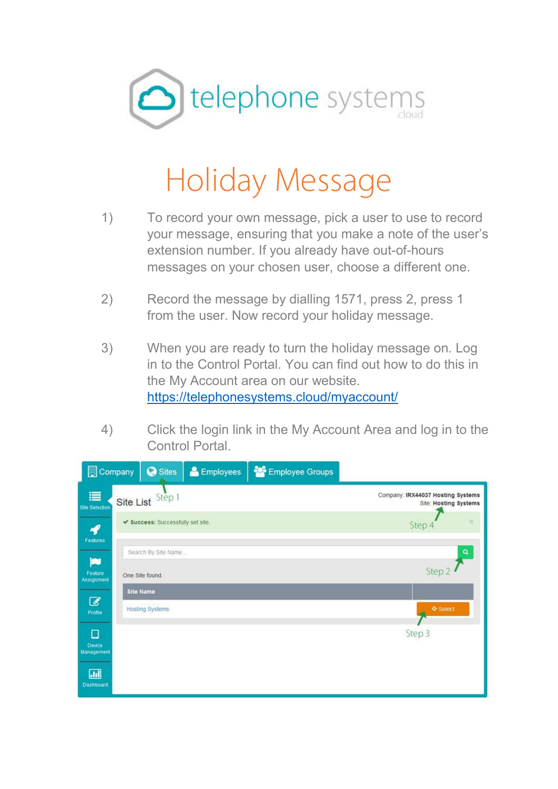

## Holiday Message

- 1) To record your own message, pick a user to use to record your message, ensuring that you make a note of the user's extension number. If you already have out-of-hours messages on your chosen user, choose a different one.
- 2) Record the message by dialling 1571, press 2, press 1 from the user. Now record your holiday message.
- 3) When you are ready to turn the holiday message on. Log in to the Control Portal. You can find out how to do this in the My Account area on our website. https://telephonesystems.cloud/myaccount/
- 4) Click the login link in the My Account Area and log in to the Control Portal.

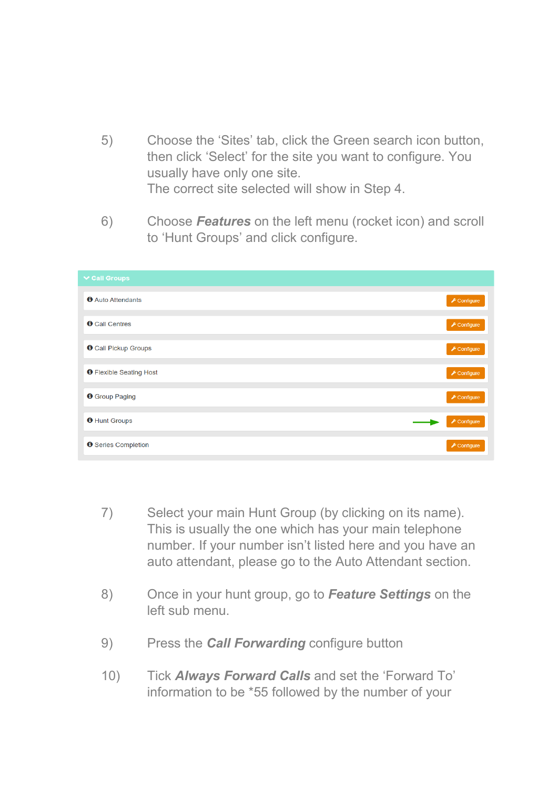- 5) Choose the 'Sites' tab, click the Green search icon button, then click 'Select' for the site you want to configure. You usually have only one site. The correct site selected will show in Step 4.
- 6) Choose *Features* on the left menu (rocket icon) and scroll to 'Hunt Groups' and click configure.

| <b>∨ Call Groups</b>           |                                |
|--------------------------------|--------------------------------|
| <b>O</b> Auto Attendants       | $\sqrt{\frac{1}{2}}$ Configure |
| <b>O</b> Call Centres          | $\sqrt{\frac{1}{2}}$ Configure |
| <b>O</b> Call Pickup Groups    | $\sqrt{\frac{1}{2}}$ Configure |
| <b>O</b> Flexible Seating Host | $E$ Configure                  |
| <b>O</b> Group Paging          | $\sqrt{\frac{1}{2}}$ Configure |
| <b>O</b> Hunt Groups           | $\sqrt{\frac{1}{2}}$ Configure |
| <b>O</b> Series Completion     | $E$ Configure                  |

- 7) Select your main Hunt Group (by clicking on its name). This is usually the one which has your main telephone number. If your number isn't listed here and you have an auto attendant, please go to the Auto Attendant section.
- 8) Once in your hunt group, go to *Feature Settings* on the left sub menu.
- 9) Press the *Call Forwarding* configure button
- 10) Tick *Always Forward Calls* and set the 'Forward To' information to be \*55 followed by the number of your